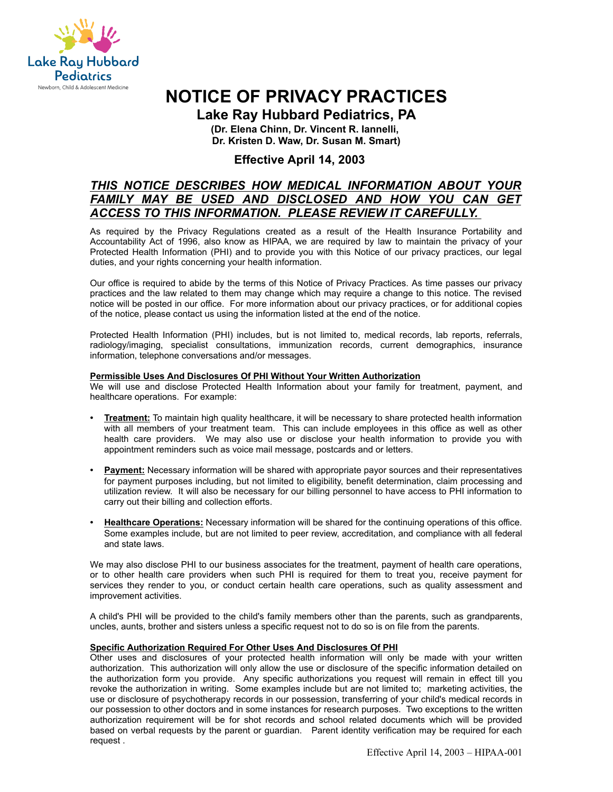

# **NOTICE OF PRIVACY PRACTICES**

**Lake Ray Hubbard Pediatrics, PA**

**(Dr. Elena Chinn, Dr. Vincent R. Iannelli, Dr. Kristen D. Waw, Dr. Susan M. Smart)**

# **Effective April 14, 2003**

# *THIS NOTICE DESCRIBES HOW MEDICAL INFORMATION ABOUT YOUR FAMILY MAY BE USED AND DISCLOSED AND HOW YOU CAN GET ACCESS TO THIS INFORMATION. PLEASE REVIEW IT CAREFULLY.*

As required by the Privacy Regulations created as a result of the Health Insurance Portability and Accountability Act of 1996, also know as HIPAA, we are required by law to maintain the privacy of your Protected Health Information (PHI) and to provide you with this Notice of our privacy practices, our legal duties, and your rights concerning your health information.

Our office is required to abide by the terms of this Notice of Privacy Practices. As time passes our privacy practices and the law related to them may change which may require a change to this notice. The revised notice will be posted in our office. For more information about our privacy practices, or for additional copies of the notice, please contact us using the information listed at the end of the notice.

Protected Health Information (PHI) includes, but is not limited to, medical records, lab reports, referrals, radiology/imaging, specialist consultations, immunization records, current demographics, insurance information, telephone conversations and/or messages.

## **Permissible Uses And Disclosures Of PHI Without Your Written Authorization**

We will use and disclose Protected Health Information about your family for treatment, payment, and healthcare operations. For example:

- **Treatment:** To maintain high quality healthcare, it will be necessary to share protected health information with all members of your treatment team. This can include employees in this office as well as other health care providers. We may also use or disclose your health information to provide you with appointment reminders such as voice mail message, postcards and or letters.
- **Payment:** Necessary information will be shared with appropriate payor sources and their representatives for payment purposes including, but not limited to eligibility, benefit determination, claim processing and utilization review. It will also be necessary for our billing personnel to have access to PHI information to carry out their billing and collection efforts.
- **Healthcare Operations:** Necessary information will be shared for the continuing operations of this office. Some examples include, but are not limited to peer review, accreditation, and compliance with all federal and state laws.

We may also disclose PHI to our business associates for the treatment, payment of health care operations, or to other health care providers when such PHI is required for them to treat you, receive payment for services they render to you, or conduct certain health care operations, such as quality assessment and improvement activities.

A child's PHI will be provided to the child's family members other than the parents, such as grandparents, uncles, aunts, brother and sisters unless a specific request not to do so is on file from the parents.

## **Specific Authorization Required For Other Uses And Disclosures Of PHI**

Other uses and disclosures of your protected health information will only be made with your written authorization. This authorization will only allow the use or disclosure of the specific information detailed on the authorization form you provide. Any specific authorizations you request will remain in effect till you revoke the authorization in writing. Some examples include but are not limited to; marketing activities, the use or disclosure of psychotherapy records in our possession, transferring of your child's medical records in our possession to other doctors and in some instances for research purposes. Two exceptions to the written authorization requirement will be for shot records and school related documents which will be provided based on verbal requests by the parent or guardian. Parent identity verification may be required for each request .